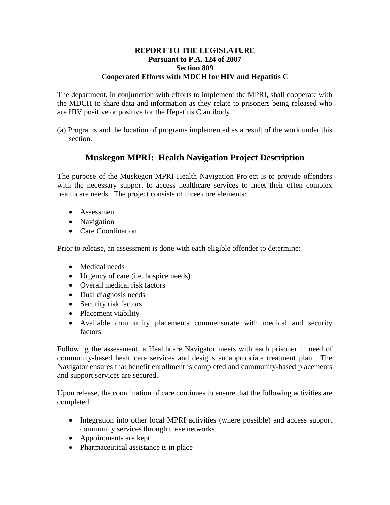## **REPORT TO THE LEGISLATURE Pursuant to P.A. 124 of 2007 Section 809 Cooperated Efforts with MDCH for HIV and Hepatitis C**

The department, in conjunction with efforts to implement the MPRI, shall cooperate with the MDCH to share data and information as they relate to prisoners being released who are HIV positive or positive for the Hepatitis C antibody.

(a) Programs and the location of programs implemented as a result of the work under this section.

## **Muskegon MPRI: Health Navigation Project Description**

The purpose of the Muskegon MPRI Health Navigation Project is to provide offenders with the necessary support to access healthcare services to meet their often complex healthcare needs. The project consists of three core elements:

- Assessment
- Navigation
- Care Coordination

Prior to release, an assessment is done with each eligible offender to determine:

- Medical needs
- Urgency of care (i.e. hospice needs)
- Overall medical risk factors
- Dual diagnosis needs
- Security risk factors
- Placement viability
- Available community placements commensurate with medical and security factors

Following the assessment, a Healthcare Navigator meets with each prisoner in need of community-based healthcare services and designs an appropriate treatment plan. The Navigator ensures that benefit enrollment is completed and community-based placements and support services are secured.

Upon release, the coordination of care continues to ensure that the following activities are completed:

- Integration into other local MPRI activities (where possible) and access support community services through these networks
- Appointments are kept
- Pharmaceutical assistance is in place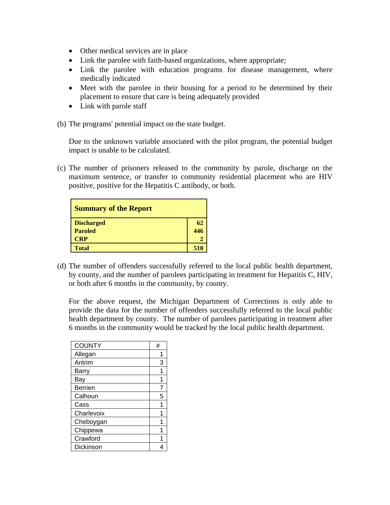- Other medical services are in place
- Link the parolee with faith-based organizations, where appropriate;
- Link the parolee with education programs for disease management, where medically indicated
- Meet with the parolee in their housing for a period to be determined by their placement to ensure that care is being adequately provided
- Link with parole staff
- (b) The programs' potential impact on the state budget.

 Due to the unknown variable associated with the pilot program, the potential budget impact is unable to be calculated.

(c) The number of prisoners released to the community by parole, discharge on the maximum sentence, or transfer to community residential placement who are HIV positive, positive for the Hepatitis C antibody, or both.

| <b>Summary of the Report</b> |     |
|------------------------------|-----|
| <b>Discharged</b>            | 62  |
| <b>Paroled</b>               | 446 |
| <b>CRP</b>                   |     |
| <b>Total</b>                 | 510 |

(d) The number of offenders successfully referred to the local public health department, by county, and the number of parolees participating in treatment for Hepatitis C, HIV, or both after 6 months in the community, by county.

For the above request, the Michigan Department of Corrections is only able to provide the data for the number of offenders successfully referred to the local public health department by county. The number of parolees participating in treatment after 6 months in the community would be tracked by the local public health department.

| <b>COUNTY</b>  | # |
|----------------|---|
| Allegan        | 1 |
| Antrim         | 3 |
| Barry          | 1 |
| Bay            | 1 |
| <b>Berrien</b> | 7 |
| Calhoun        | 5 |
| Cass           | 1 |
| Charlevoix     |   |
| Cheboygan      |   |
| Chippewa       |   |
| Crawford       |   |
| Dickinson      |   |